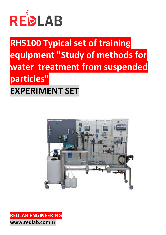

# **RHS100 Typical set of training equipment "Study of methods for water treatment from suspended particles" EXPERIMENT SET**



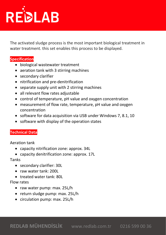

The activated sludge process is the most important biological treatment in water treatment. this set enables this process to be displayed.

### **Specification**

- biological wastewater treatment
- aeration tank with 3 stirring machines
- secondary clarifier
- nitrification and pre-denitrification
- separate supply unit with 2 stirring machines
- all relevant flow rates adjustable
- control of temperature, pH value and oxygen concentration
- measurement of flow rate, temperature, pH value and oxygen concentration
- software for data acquisition via USB under Windows 7, 8.1, 10
- software with display of the operation states

# **Technical Data**

Aeration tank

- capacity nitrification zone: approx. 34L
- capacity denitrification zone: approx. 17L

#### Tanks

- secondary clarifier: 30L
- raw water tank: 200L
- treated water tank: 80L

#### Flow rates

- raw water pump: max. 25L/h
- return sludge pump: max. 25L/h
- circulation pump: max. 25L/h

**REDLAB MÜHENDİSLİK** www.redlab.com.tr0216 599 00 36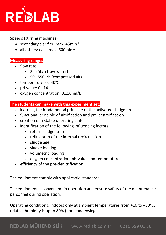

Speeds (stirring machines)

- secondary clarifier: max.  $45$ min $^{-1}$
- all others: each max.  $600$ min<sup>-1</sup>

## **Measuring ranges**

- § flow rate:
	- § 2…25L/h (raw water)
	- § 50…550L/h (compressed air)
- § temperature: 0…40°C
- § pH value: 0…14
- § oxygen concentration: 0…10mg/L

#### **The students can make with this experiment set:**

- § learning the fundamental principle of the activated sludge process
- § functional principle of nitrification and pre-denitrification
- § creation of a stable operating state
- identification of the following influencing factors
	- § return sludge ratio
	- reflux ratio of the internal recirculation
	- § sludge age
	- § sludge loading
	- § volumetric loading
	- § oxygen concentration, pH value and temperature
- § efficiency of the pre-denitrification

The equipment comply with applicable standards.

The equipment is convenient in operation and ensure safety of the maintenance personnel during operation.

Operating conditions: Indoors only at ambient temperatures from +10 to +30°C; relative humidity is up to 80% (non-condensing).